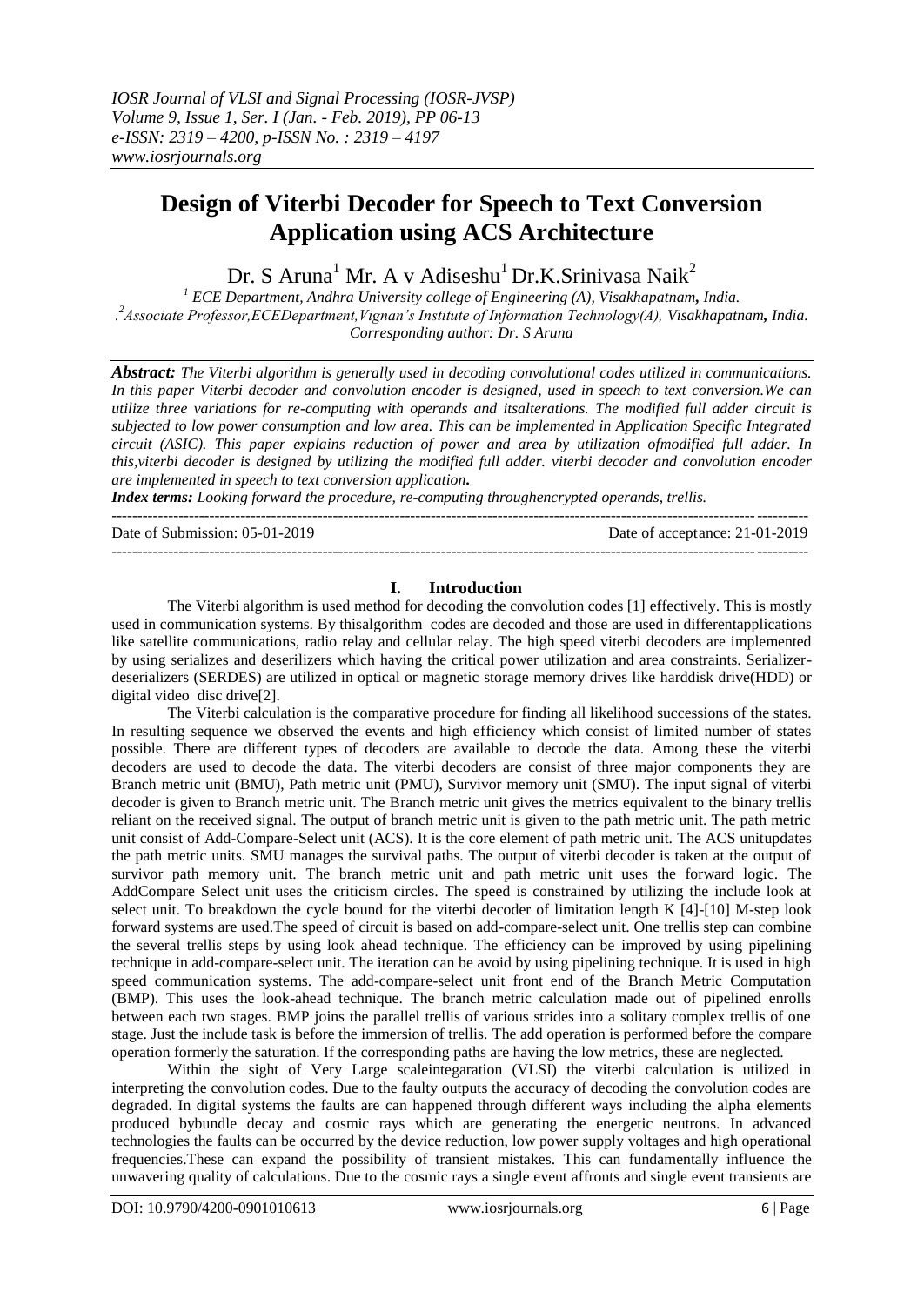# **Design of Viterbi Decoder for Speech to Text Conversion Application using ACS Architecture**

Dr. S Aruna<sup>1</sup> Mr. A v Adiseshu<sup>1</sup> Dr.K.Srinivasa Naik<sup>2</sup>

*<sup>1</sup> ECE Department, Andhra University college of Engineering (A), Visakhapatnam, India. . <sup>2</sup>Associate Professor,ECEDepartment,Vignan's Institute of Information Technology(A), Visakhapatnam, India. Corresponding author: Dr. S Aruna*

*Abstract: The Viterbi algorithm is generally used in decoding convolutional codes utilized in communications. In this paper Viterbi decoder and convolution encoder is designed, used in speech to text conversion.We can utilize three variations for re-computing with operands and itsalterations. The modified full adder circuit is subjected to low power consumption and low area. This can be implemented in Application Specific Integrated circuit (ASIC). This paper explains reduction of power and area by utilization ofmodified full adder. In this,viterbi decoder is designed by utilizing the modified full adder. viterbi decoder and convolution encoder are implemented in speech to text conversion application.*

*Index terms: Looking forward the procedure, re-computing throughencrypted operands, trellis.* ---------------------------------------------------------------------------------------------------------------------------------------

Date of Submission: 05-01-2019 Date of acceptance: 21-01-2019 ---------------------------------------------------------------------------------------------------------------------------------------

### **I. Introduction**

The Viterbi algorithm is used method for decoding the convolution codes [1] effectively. This is mostly used in communication systems. By thisalgorithm codes are decoded and those are used in differentapplications like satellite communications, radio relay and cellular relay. The high speed viterbi decoders are implemented by using serializes and deserilizers which having the critical power utilization and area constraints. Serializerdeserializers (SERDES) are utilized in optical or magnetic storage memory drives like harddisk drive(HDD) or digital video disc drive[2].

The Viterbi calculation is the comparative procedure for finding all likelihood successions of the states. In resulting sequence we observed the events and high efficiency which consist of limited number of states possible. There are different types of decoders are available to decode the data. Among these the viterbi decoders are used to decode the data. The viterbi decoders are consist of three major components they are Branch metric unit (BMU), Path metric unit (PMU), Survivor memory unit (SMU). The input signal of viterbi decoder is given to Branch metric unit. The Branch metric unit gives the metrics equivalent to the binary trellis reliant on the received signal. The output of branch metric unit is given to the path metric unit. The path metric unit consist of Add-Compare-Select unit (ACS). It is the core element of path metric unit. The ACS unitupdates the path metric units. SMU manages the survival paths. The output of viterbi decoder is taken at the output of survivor path memory unit. The branch metric unit and path metric unit uses the forward logic. The AddCompare Select unit uses the criticism circles. The speed is constrained by utilizing the include look at select unit. To breakdown the cycle bound for the viterbi decoder of limitation length K [4]-[10] M-step look forward systems are used.The speed of circuit is based on add-compare-select unit. One trellis step can combine the several trellis steps by using look ahead technique. The efficiency can be improved by using pipelining technique in add-compare-select unit. The iteration can be avoid by using pipelining technique. It is used in high speed communication systems. The add-compare-select unit front end of the Branch Metric Computation (BMP). This uses the look-ahead technique. The branch metric calculation made out of pipelined enrolls between each two stages. BMP joins the parallel trellis of various strides into a solitary complex trellis of one stage. Just the include task is before the immersion of trellis. The add operation is performed before the compare operation formerly the saturation. If the corresponding paths are having the low metrics, these are neglected.

Within the sight of Very Large scaleintegaration (VLSI) the viterbi calculation is utilized in interpreting the convolution codes. Due to the faulty outputs the accuracy of decoding the convolution codes are degraded. In digital systems the faults are can happened through different ways including the alpha elements produced bybundle decay and cosmic rays which are generating the energetic neutrons. In advanced technologies the faults can be occurred by the device reduction, low power supply voltages and high operational frequencies.These can expand the possibility of transient mistakes. This can fundamentally influence the unwavering quality of calculations. Due to the cosmic rays a single event affronts and single event transients are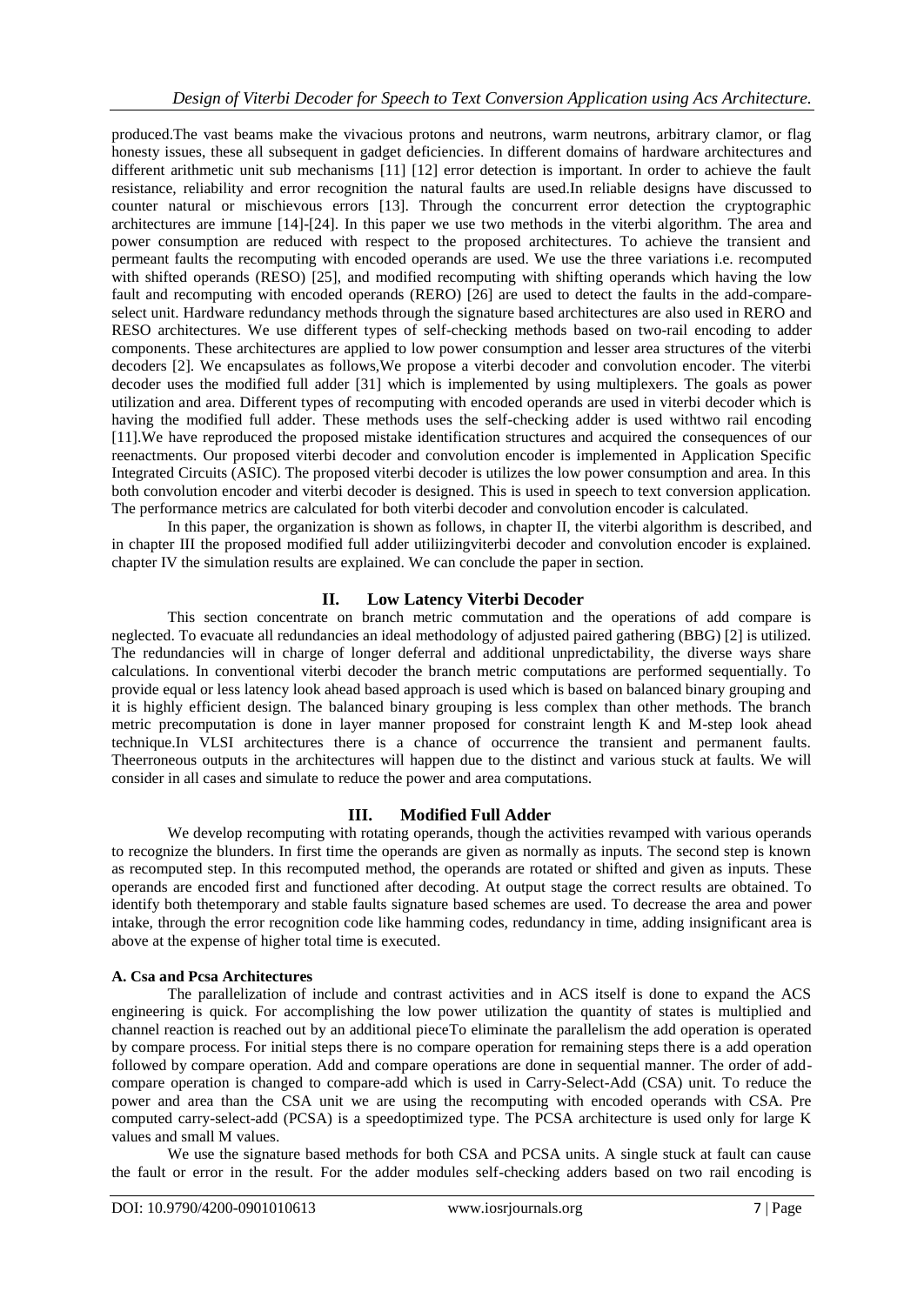produced.The vast beams make the vivacious protons and neutrons, warm neutrons, arbitrary clamor, or flag honesty issues, these all subsequent in gadget deficiencies. In different domains of hardware architectures and different arithmetic unit sub mechanisms [11] [12] error detection is important. In order to achieve the fault resistance, reliability and error recognition the natural faults are used.In reliable designs have discussed to counter natural or mischievous errors [13]. Through the concurrent error detection the cryptographic architectures are immune [14]-[24]. In this paper we use two methods in the viterbi algorithm. The area and power consumption are reduced with respect to the proposed architectures. To achieve the transient and permeant faults the recomputing with encoded operands are used. We use the three variations i.e. recomputed with shifted operands (RESO) [25], and modified recomputing with shifting operands which having the low fault and recomputing with encoded operands (RERO) [26] are used to detect the faults in the add-compareselect unit. Hardware redundancy methods through the signature based architectures are also used in RERO and RESO architectures. We use different types of self-checking methods based on two-rail encoding to adder components. These architectures are applied to low power consumption and lesser area structures of the viterbi decoders [2]. We encapsulates as follows,We propose a viterbi decoder and convolution encoder. The viterbi decoder uses the modified full adder [31] which is implemented by using multiplexers. The goals as power utilization and area. Different types of recomputing with encoded operands are used in viterbi decoder which is having the modified full adder. These methods uses the self-checking adder is used withtwo rail encoding [11].We have reproduced the proposed mistake identification structures and acquired the consequences of our reenactments. Our proposed viterbi decoder and convolution encoder is implemented in Application Specific Integrated Circuits (ASIC). The proposed viterbi decoder is utilizes the low power consumption and area. In this both convolution encoder and viterbi decoder is designed. This is used in speech to text conversion application. The performance metrics are calculated for both viterbi decoder and convolution encoder is calculated.

In this paper, the organization is shown as follows, in chapter II, the viterbi algorithm is described, and in chapter III the proposed modified full adder utiliizingviterbi decoder and convolution encoder is explained. chapter IV the simulation results are explained. We can conclude the paper in section.

# **II. Low Latency Viterbi Decoder**

This section concentrate on branch metric commutation and the operations of add compare is neglected. To evacuate all redundancies an ideal methodology of adjusted paired gathering (BBG) [2] is utilized. The redundancies will in charge of longer deferral and additional unpredictability, the diverse ways share calculations. In conventional viterbi decoder the branch metric computations are performed sequentially. To provide equal or less latency look ahead based approach is used which is based on balanced binary grouping and it is highly efficient design. The balanced binary grouping is less complex than other methods. The branch metric precomputation is done in layer manner proposed for constraint length K and M-step look ahead technique.In VLSI architectures there is a chance of occurrence the transient and permanent faults. Theerroneous outputs in the architectures will happen due to the distinct and various stuck at faults. We will consider in all cases and simulate to reduce the power and area computations.

# **III. Modified Full Adder**

We develop recomputing with rotating operands, though the activities revamped with various operands to recognize the blunders. In first time the operands are given as normally as inputs. The second step is known as recomputed step. In this recomputed method, the operands are rotated or shifted and given as inputs. These operands are encoded first and functioned after decoding. At output stage the correct results are obtained. To identify both thetemporary and stable faults signature based schemes are used. To decrease the area and power intake, through the error recognition code like hamming codes, redundancy in time, adding insignificant area is above at the expense of higher total time is executed.

### **A. Csa and Pcsa Architectures**

The parallelization of include and contrast activities and in ACS itself is done to expand the ACS engineering is quick. For accomplishing the low power utilization the quantity of states is multiplied and channel reaction is reached out by an additional pieceTo eliminate the parallelism the add operation is operated by compare process. For initial steps there is no compare operation for remaining steps there is a add operation followed by compare operation. Add and compare operations are done in sequential manner. The order of addcompare operation is changed to compare-add which is used in Carry-Select-Add (CSA) unit. To reduce the power and area than the CSA unit we are using the recomputing with encoded operands with CSA. Pre computed carry-select-add (PCSA) is a speedoptimized type. The PCSA architecture is used only for large K values and small M values.

We use the signature based methods for both CSA and PCSA units. A single stuck at fault can cause the fault or error in the result. For the adder modules self-checking adders based on two rail encoding is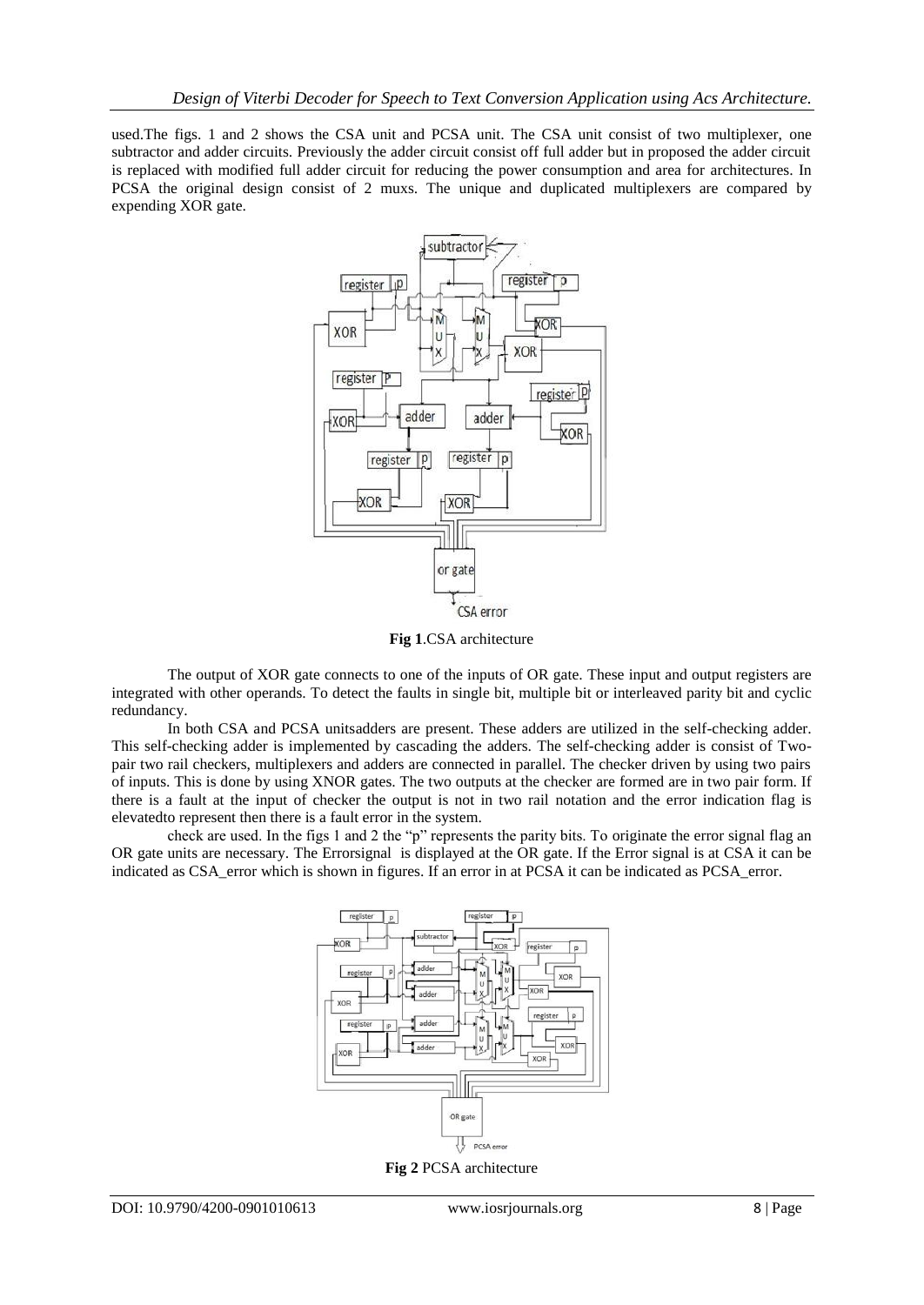used.The figs. 1 and 2 shows the CSA unit and PCSA unit. The CSA unit consist of two multiplexer, one subtractor and adder circuits. Previously the adder circuit consist off full adder but in proposed the adder circuit is replaced with modified full adder circuit for reducing the power consumption and area for architectures. In PCSA the original design consist of 2 muxs. The unique and duplicated multiplexers are compared by expending XOR gate.



**Fig 1**.CSA architecture

The output of XOR gate connects to one of the inputs of OR gate. These input and output registers are integrated with other operands. To detect the faults in single bit, multiple bit or interleaved parity bit and cyclic redundancy.

In both CSA and PCSA unitsadders are present. These adders are utilized in the self-checking adder. This self-checking adder is implemented by cascading the adders. The self-checking adder is consist of Twopair two rail checkers, multiplexers and adders are connected in parallel. The checker driven by using two pairs of inputs. This is done by using XNOR gates. The two outputs at the checker are formed are in two pair form. If there is a fault at the input of checker the output is not in two rail notation and the error indication flag is elevatedto represent then there is a fault error in the system.

check are used. In the figs 1 and 2 the "p" represents the parity bits. To originate the error signal flag an OR gate units are necessary. The Errorsignal is displayed at the OR gate. If the Error signal is at CSA it can be indicated as CSA\_error which is shown in figures. If an error in at PCSA it can be indicated as PCSA\_error.



**Fig 2** PCSA architecture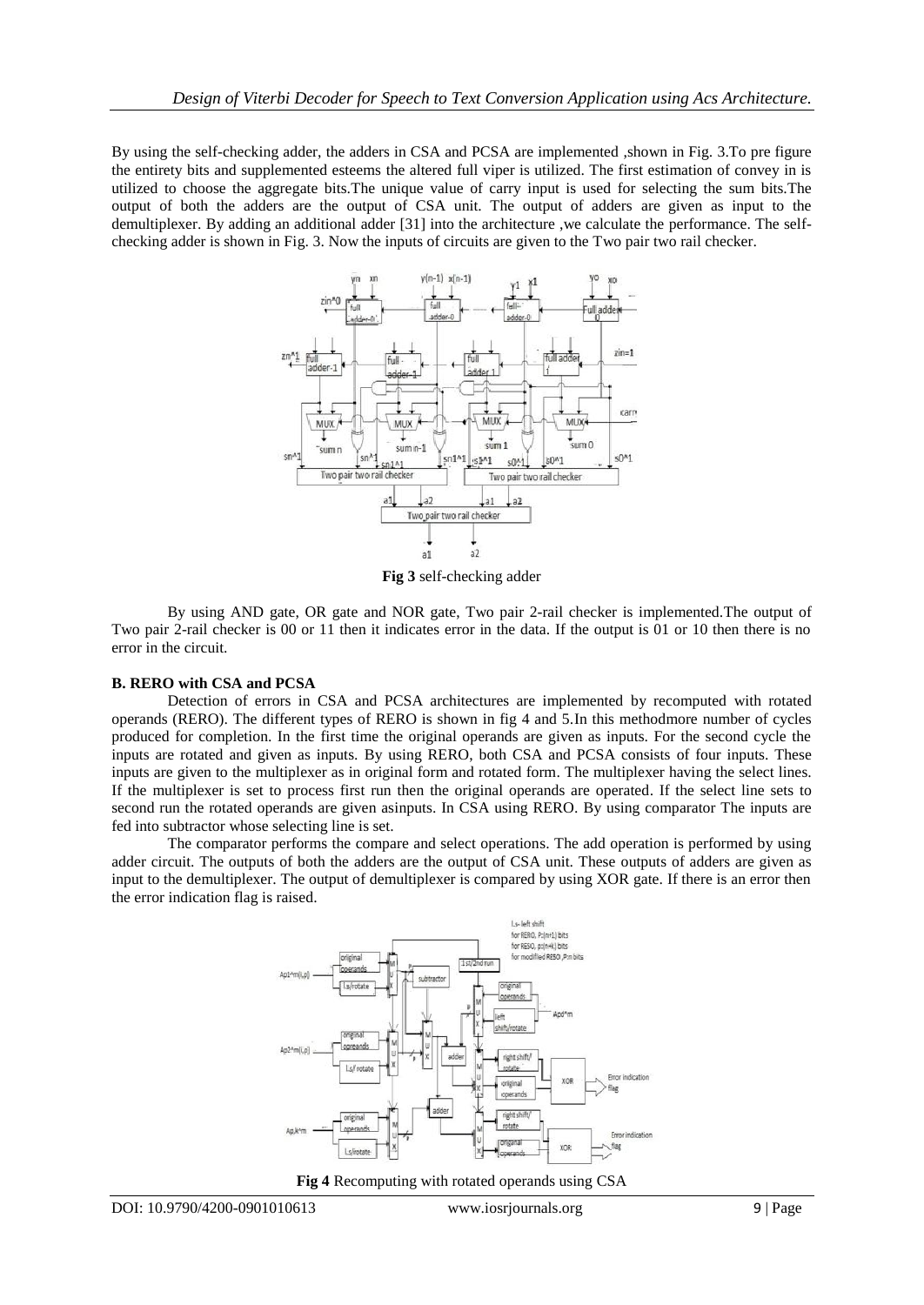By using the self-checking adder, the adders in CSA and PCSA are implemented ,shown in Fig. 3.To pre figure the entirety bits and supplemented esteems the altered full viper is utilized. The first estimation of convey in is utilized to choose the aggregate bits.The unique value of carry input is used for selecting the sum bits.The output of both the adders are the output of CSA unit. The output of adders are given as input to the demultiplexer. By adding an additional adder [31] into the architecture ,we calculate the performance. The selfchecking adder is shown in Fig. 3. Now the inputs of circuits are given to the Two pair two rail checker.



**Fig 3** self-checking adder

By using AND gate, OR gate and NOR gate, Two pair 2-rail checker is implemented.The output of Two pair 2-rail checker is 00 or 11 then it indicates error in the data. If the output is 01 or 10 then there is no error in the circuit.

### **B. RERO with CSA and PCSA**

Detection of errors in CSA and PCSA architectures are implemented by recomputed with rotated operands (RERO). The different types of RERO is shown in fig 4 and 5.In this methodmore number of cycles produced for completion. In the first time the original operands are given as inputs. For the second cycle the inputs are rotated and given as inputs. By using RERO, both CSA and PCSA consists of four inputs. These inputs are given to the multiplexer as in original form and rotated form. The multiplexer having the select lines. If the multiplexer is set to process first run then the original operands are operated. If the select line sets to second run the rotated operands are given asinputs. In CSA using RERO. By using comparator The inputs are fed into subtractor whose selecting line is set.

The comparator performs the compare and select operations. The add operation is performed by using adder circuit. The outputs of both the adders are the output of CSA unit. These outputs of adders are given as input to the demultiplexer. The output of demultiplexer is compared by using XOR gate. If there is an error then the error indication flag is raised.



**Fig 4** Recomputing with rotated operands using CSA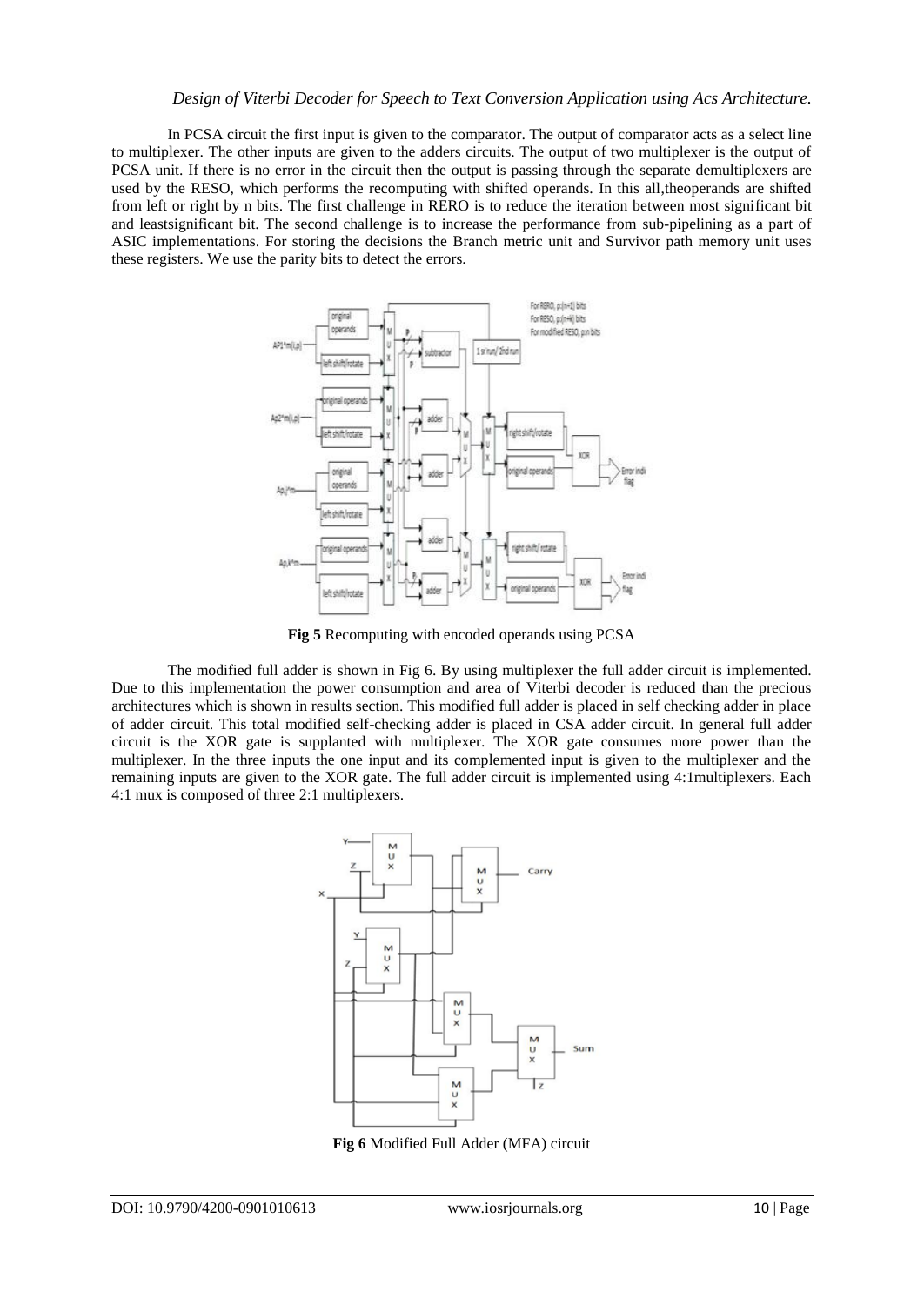In PCSA circuit the first input is given to the comparator. The output of comparator acts as a select line to multiplexer. The other inputs are given to the adders circuits. The output of two multiplexer is the output of PCSA unit. If there is no error in the circuit then the output is passing through the separate demultiplexers are used by the RESO, which performs the recomputing with shifted operands. In this all,theoperands are shifted from left or right by n bits. The first challenge in RERO is to reduce the iteration between most significant bit and leastsignificant bit. The second challenge is to increase the performance from sub-pipelining as a part of ASIC implementations. For storing the decisions the Branch metric unit and Survivor path memory unit uses these registers. We use the parity bits to detect the errors.



**Fig 5** Recomputing with encoded operands using PCSA

The modified full adder is shown in Fig 6. By using multiplexer the full adder circuit is implemented. Due to this implementation the power consumption and area of Viterbi decoder is reduced than the precious architectures which is shown in results section. This modified full adder is placed in self checking adder in place of adder circuit. This total modified self-checking adder is placed in CSA adder circuit. In general full adder circuit is the XOR gate is supplanted with multiplexer. The XOR gate consumes more power than the multiplexer. In the three inputs the one input and its complemented input is given to the multiplexer and the remaining inputs are given to the XOR gate. The full adder circuit is implemented using 4:1multiplexers. Each 4:1 mux is composed of three 2:1 multiplexers.



**Fig 6** Modified Full Adder (MFA) circuit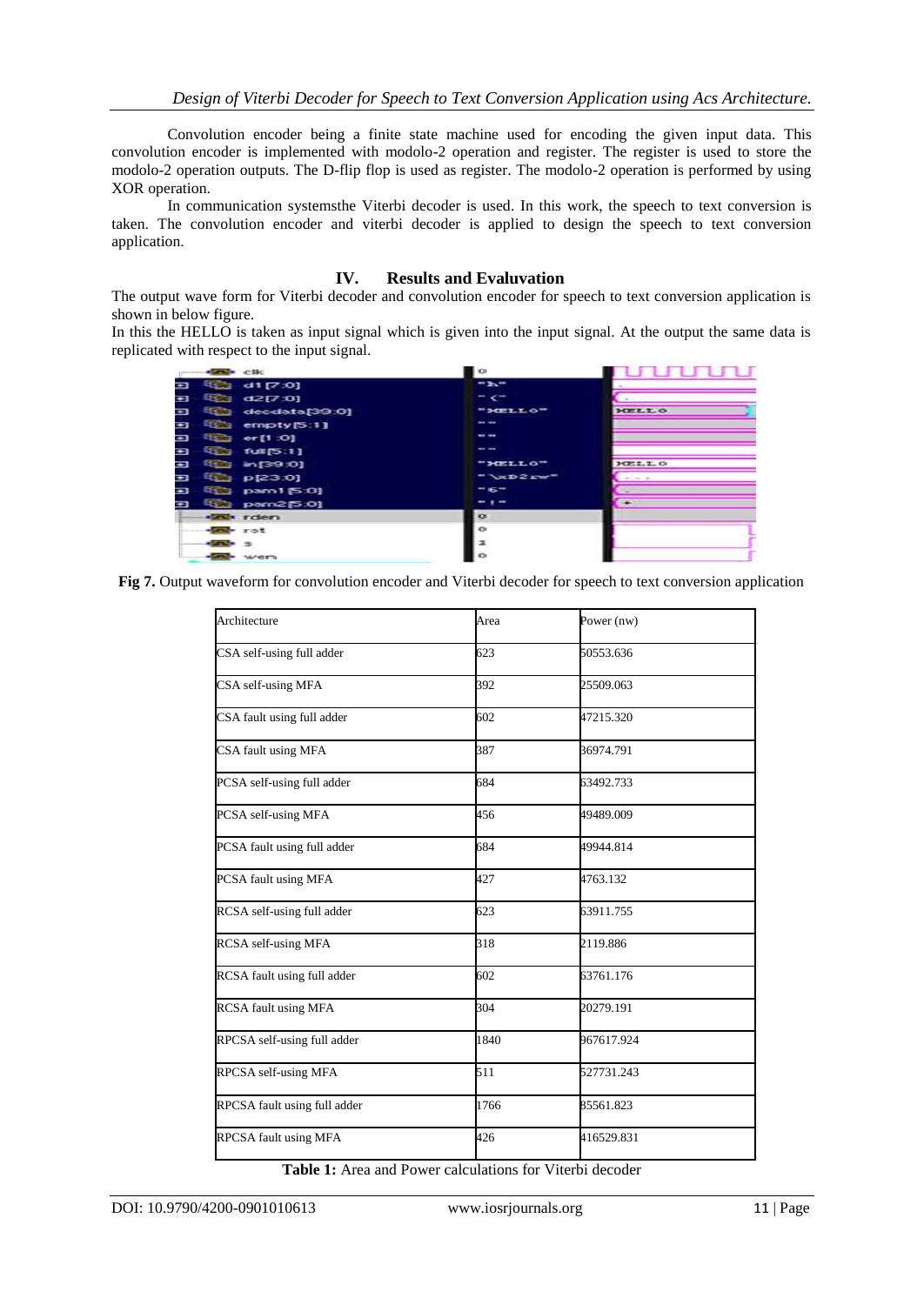Convolution encoder being a finite state machine used for encoding the given input data. This convolution encoder is implemented with modolo-2 operation and register. The register is used to store the modolo-2 operation outputs. The D-flip flop is used as register. The modolo-2 operation is performed by using XOR operation.

In communication systemsthe Viterbi decoder is used. In this work, the speech to text conversion is taken. The convolution encoder and viterbi decoder is applied to design the speech to text conversion application.

#### **IV. Results and Evaluvation**

The output wave form for Viterbi decoder and convolution encoder for speech to text conversion application is shown in below figure.

In this the HELLO is taken as input signal which is given into the input signal. At the output the same data is replicated with respect to the input signal.

|   | <b>START CHE</b>        | $\circ$         |                          |
|---|-------------------------|-----------------|--------------------------|
| Ð | 41(7.0)                 | $-1$            |                          |
| ¢ | <b>電話 d2[7:0]</b>       | $ \epsilon$     |                          |
| Ð | Ea decdata[39.0]        | "HELLO"         | HELLO                    |
| Ħ | the empty [5:1]         | $- - -$         |                          |
| Ð | <b>EEE</b> er[1:0]      | $-0.00$         |                          |
| Ð | <b>EEE</b> full [5:1]   | $- - -$         |                          |
| Ħ | (位) in [39.0]           | "HELLO"         | 3022.3.0                 |
| ÷ | $E_{\text{23}}$ p[23:0] | $T \times D2xw$ | $-1$ $-1$                |
| ¢ | <b>ED pam1 [5:0]</b>    | $-6-$           |                          |
| Ð | E2 pam2[5:0]            | $-1-$           | $\overline{\phantom{a}}$ |
|   | <b>SEP</b> rden         | $\bullet$       |                          |
|   | <b>SELL</b> rot         | e               |                          |
|   | $-200 - 3$              |                 |                          |
|   | <b>Seat</b> went        |                 |                          |
|   |                         |                 |                          |

**Fig 7.** Output waveform for convolution encoder and Viterbi decoder for speech to text conversion application

| Architecture                 | Area | Power (nw) |
|------------------------------|------|------------|
| CSA self-using full adder    | 623  | 50553.636  |
| CSA self-using MFA           | 392  | 25509.063  |
| CSA fault using full adder   | 602  | 47215.320  |
| CSA fault using MFA          | 387  | 36974.791  |
| PCSA self-using full adder   | 684  | 63492.733  |
| PCSA self-using MFA          | 456  | 49489.009  |
| PCSA fault using full adder  | 684  | 49944.814  |
| PCSA fault using MFA         | 427  | 4763.132   |
| RCSA self-using full adder   | 623  | 63911.755  |
| RCSA self-using MFA          | 318  | 2119.886   |
| RCSA fault using full adder  | 602  | 63761.176  |
| <b>RCSA</b> fault using MFA  | 304  | 20279.191  |
| RPCSA self-using full adder  | 1840 | 967617.924 |
| RPCSA self-using MFA         | 511  | 527731.243 |
| RPCSA fault using full adder | 1766 | 85561.823  |
| RPCSA fault using MFA        | 426  | 416529.831 |
|                              |      |            |

**Table 1:** Area and Power calculations for Viterbi decoder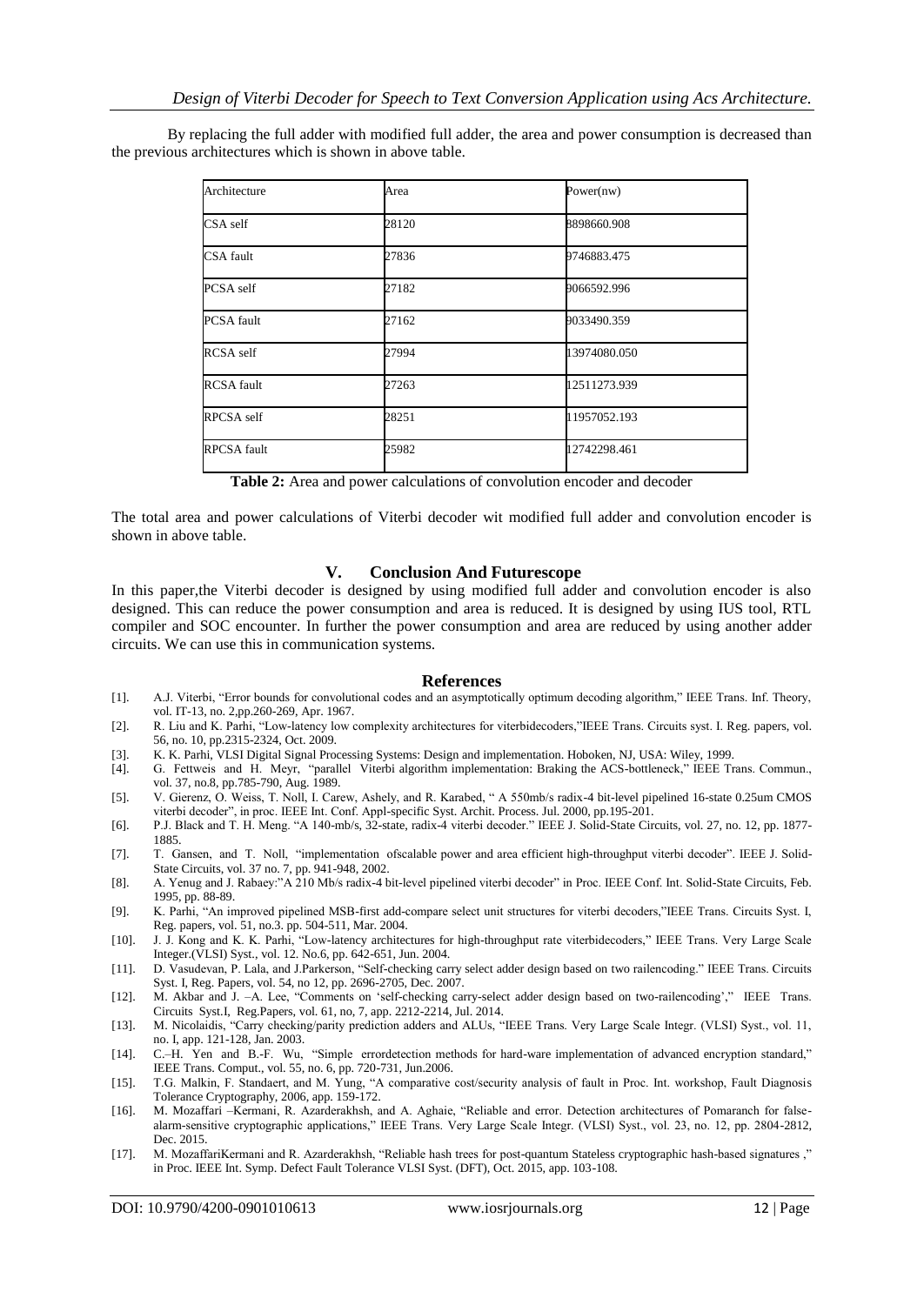By replacing the full adder with modified full adder, the area and power consumption is decreased than the previous architectures which is shown in above table.

| Architecture       | Area  | Power(nw)    |
|--------------------|-------|--------------|
| CSA self           | 28120 | 8898660.908  |
| CSA fault          | 27836 | 9746883.475  |
| PCSA self          | 27182 | 9066592.996  |
| <b>PCSA</b> fault  | 27162 | 9033490.359  |
| RCSA self          | 27994 | 13974080.050 |
| <b>RCSA</b> fault  | 27263 | 12511273.939 |
| RPCSA self         | 28251 | 11957052.193 |
| <b>RPCSA</b> fault | 25982 | 12742298.461 |

**Table 2:** Area and power calculations of convolution encoder and decoder

The total area and power calculations of Viterbi decoder wit modified full adder and convolution encoder is shown in above table.

#### **V. Conclusion And Futurescope**

In this paper,the Viterbi decoder is designed by using modified full adder and convolution encoder is also designed. This can reduce the power consumption and area is reduced. It is designed by using IUS tool, RTL compiler and SOC encounter. In further the power consumption and area are reduced by using another adder circuits. We can use this in communication systems.

#### **References**

- [1]. A.J. Viterbi, "Error bounds for convolutional codes and an asymptotically optimum decoding algorithm," IEEE Trans. Inf. Theory, vol. IT-13, no. 2,pp.260-269, Apr. 1967.
- [2]. R. Liu and K. Parhi, "Low-latency low complexity architectures for viterbidecoders,"IEEE Trans. Circuits syst. I. Reg. papers, vol. 56, no. 10, pp.2315-2324, Oct. 2009.
- [3]. K. K. Parhi, VLSI Digital Signal Processing Systems: Design and implementation. Hoboken, NJ, USA: Wiley, 1999.
- [4]. G. Fettweis and H. Meyr, "parallel Viterbi algorithm implementation: Braking the ACS-bottleneck," IEEE Trans. Commun., vol. 37, no.8, pp.785-790, Aug. 1989.
- [5]. V. Gierenz, O. Weiss, T. Noll, I. Carew, Ashely, and R. Karabed, " A 550mb/s radix-4 bit-level pipelined 16-state 0.25um CMOS viterbi decoder", in proc. IEEE Int. Conf. Appl-specific Syst. Archit. Process. Jul. 2000, pp.195-201.
- [6]. P.J. Black and T. H. Meng. "A 140-mb/s, 32-state, radix-4 viterbi decoder." IEEE J. Solid-State Circuits, vol. 27, no. 12, pp. 1877- 1885.
- [7]. T. Gansen, and T. Noll, "implementation ofscalable power and area efficient high-throughput viterbi decoder". IEEE J. Solid-State Circuits, vol. 37 no. 7, pp. 941-948, 2002.
- [8]. A. Yenug and J. Rabaey:"A 210 Mb/s radix-4 bit-level pipelined viterbi decoder" in Proc. IEEE Conf. Int. Solid-State Circuits, Feb. 1995, pp. 88-89.
- [9]. K. Parhi, "An improved pipelined MSB-first add-compare select unit structures for viterbi decoders,"IEEE Trans. Circuits Syst. I, Reg. papers, vol. 51, no.3. pp. 504-511, Mar. 2004.
- [10]. J. J. Kong and K. K. Parhi, "Low-latency architectures for high-throughput rate viterbidecoders," IEEE Trans. Very Large Scale Integer.(VLSI) Syst., vol. 12. No.6, pp. 642-651, Jun. 2004.
- [11]. D. Vasudevan, P. Lala, and J.Parkerson, "Self-checking carry select adder design based on two railencoding." IEEE Trans. Circuits Syst. I, Reg. Papers, vol. 54, no 12, pp. 2696-2705, Dec. 2007.
- [12]. M. Akbar and J. –A. Lee, "Comments on "self-checking carry-select adder design based on two-railencoding"," IEEE Trans. Circuits Syst.I, Reg.Papers, vol. 61, no, 7, app. 2212-2214, Jul. 2014.
- [13]. M. Nicolaidis, "Carry checking/parity prediction adders and ALUs, "IEEE Trans. Very Large Scale Integr. (VLSI) Syst., vol. 11, no. I, app. 121-128, Jan. 2003.
- [14]. C.–H. Yen and B.-F. Wu, "Simple errordetection methods for hard-ware implementation of advanced encryption standard," IEEE Trans. Comput., vol. 55, no. 6, pp. 720-731, Jun.2006.
- [15]. T.G. Malkin, F. Standaert, and M. Yung, "A comparative cost/security analysis of fault in Proc. Int. workshop, Fault Diagnosis Tolerance Cryptography, 2006, app. 159-172.
- [16]. M. Mozaffari –Kermani, R. Azarderakhsh, and A. Aghaie, "Reliable and error. Detection architectures of Pomaranch for falsealarm-sensitive cryptographic applications," IEEE Trans. Very Large Scale Integr. (VLSI) Syst., vol. 23, no. 12, pp. 2804-2812, Dec. 2015.
- [17]. M. MozaffariKermani and R. Azarderakhsh, "Reliable hash trees for post-quantum Stateless cryptographic hash-based signatures ," in Proc. IEEE Int. Symp. Defect Fault Tolerance VLSI Syst. (DFT), Oct. 2015, app. 103-108.